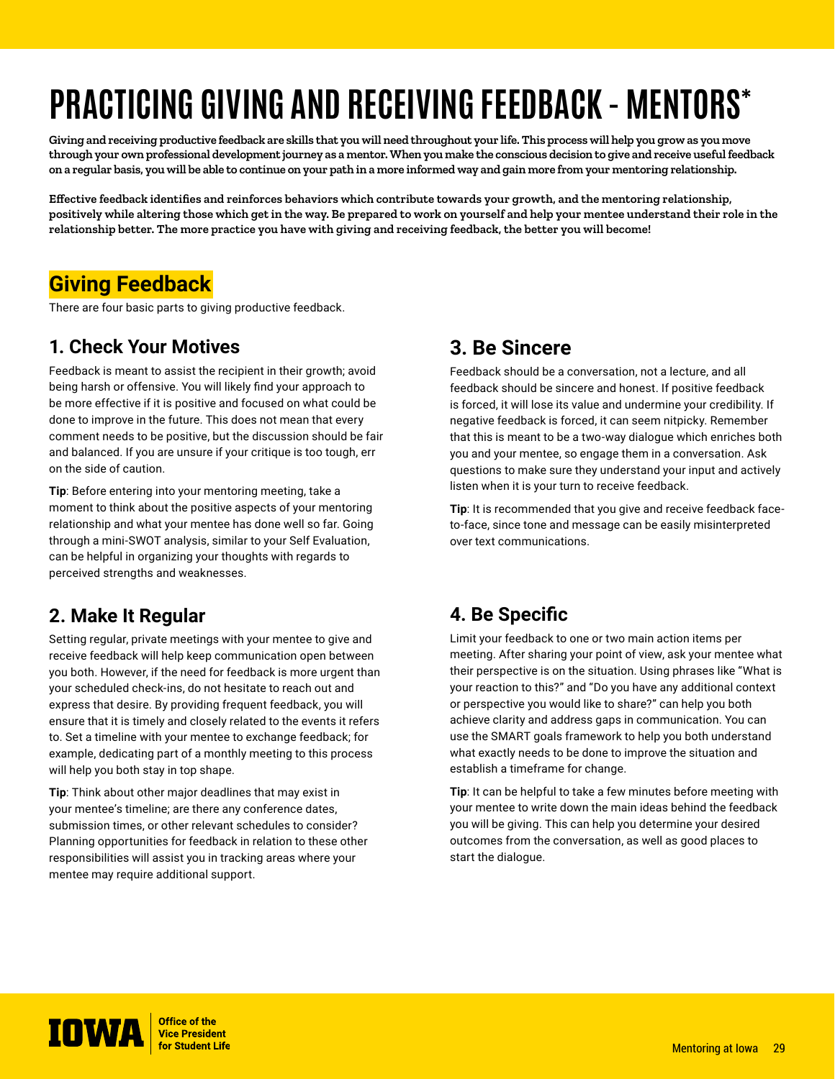# **PRACTICING GIVING AND RECEIVING FEEDBACK - MENTORS\***

**Giving and receiving productive feedback are skills that you will need throughout your life. This process will help you grow as you move through your own professional development journey as a mentor. When you make the conscious decision to give and receive useful feedback on a regular basis, you will be able to continue on your path in a more informed way and gain more from your mentoring relationship.**

**Effective feedback identifies and reinforces behaviors which contribute towards your growth, and the mentoring relationship, positively while altering those which get in the way. Be prepared to work on yourself and help your mentee understand their role in the relationship better. The more practice you have with giving and receiving feedback, the better you will become!**

# **Giving Feedback**

There are four basic parts to giving productive feedback.

#### **1. Check Your Motives**

Feedback is meant to assist the recipient in their growth; avoid being harsh or offensive. You will likely find your approach to be more effective if it is positive and focused on what could be done to improve in the future. This does not mean that every comment needs to be positive, but the discussion should be fair and balanced. If you are unsure if your critique is too tough, err on the side of caution.

**Tip**: Before entering into your mentoring meeting, take a moment to think about the positive aspects of your mentoring relationship and what your mentee has done well so far. Going through a mini-SWOT analysis, similar to your Self Evaluation, can be helpful in organizing your thoughts with regards to perceived strengths and weaknesses.

#### **2. Make It Regular**

Setting regular, private meetings with your mentee to give and receive feedback will help keep communication open between you both. However, if the need for feedback is more urgent than your scheduled check-ins, do not hesitate to reach out and express that desire. By providing frequent feedback, you will ensure that it is timely and closely related to the events it refers to. Set a timeline with your mentee to exchange feedback; for example, dedicating part of a monthly meeting to this process will help you both stay in top shape.

**Tip**: Think about other major deadlines that may exist in your mentee's timeline; are there any conference dates, submission times, or other relevant schedules to consider? Planning opportunities for feedback in relation to these other responsibilities will assist you in tracking areas where your mentee may require additional support.

#### **3. Be Sincere**

Feedback should be a conversation, not a lecture, and all feedback should be sincere and honest. If positive feedback is forced, it will lose its value and undermine your credibility. If negative feedback is forced, it can seem nitpicky. Remember that this is meant to be a two-way dialogue which enriches both you and your mentee, so engage them in a conversation. Ask questions to make sure they understand your input and actively listen when it is your turn to receive feedback.

**Tip**: It is recommended that you give and receive feedback faceto-face, since tone and message can be easily misinterpreted over text communications.

### **4. Be Specific**

Limit your feedback to one or two main action items per meeting. After sharing your point of view, ask your mentee what their perspective is on the situation. Using phrases like "What is your reaction to this?" and "Do you have any additional context or perspective you would like to share?" can help you both achieve clarity and address gaps in communication. You can use the SMART goals framework to help you both understand what exactly needs to be done to improve the situation and establish a timeframe for change.

**Tip**: It can be helpful to take a few minutes before meeting with your mentee to write down the main ideas behind the feedback you will be giving. This can help you determine your desired outcomes from the conversation, as well as good places to start the dialogue.

**IOWA** *Vice* President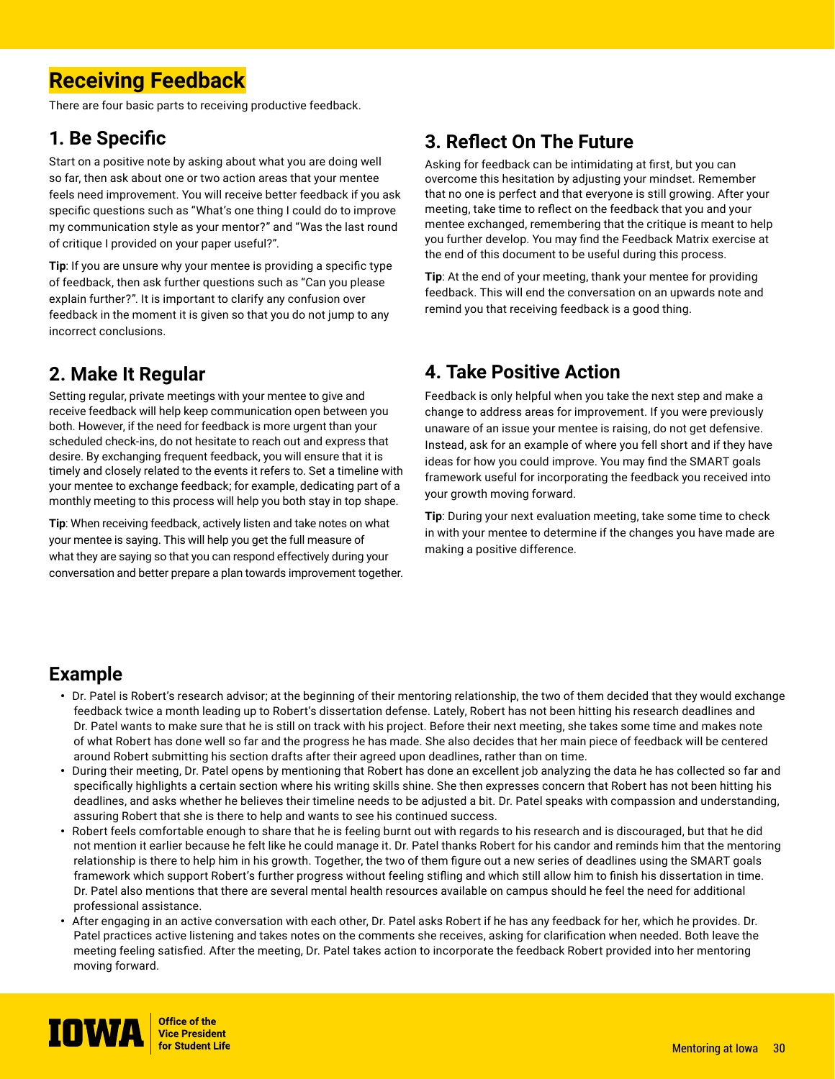# **Receiving Feedback**

There are four basic parts to receiving productive feedback.

## **1. Be Specific**

Start on a positive note by asking about what you are doing well so far, then ask about one or two action areas that your mentee feels need improvement. You will receive better feedback if you ask specific questions such as "What's one thing I could do to improve my communication style as your mentor?" and "Was the last round of critique I provided on your paper useful?".

**Tip**: If you are unsure why your mentee is providing a specific type of feedback, then ask further questions such as "Can you please explain further?". It is important to clarify any confusion over feedback in the moment it is given so that you do not jump to any incorrect conclusions.

# **2. Make It Regular**

Setting regular, private meetings with your mentee to give and receive feedback will help keep communication open between you both. However, if the need for feedback is more urgent than your scheduled check-ins, do not hesitate to reach out and express that desire. By exchanging frequent feedback, you will ensure that it is timely and closely related to the events it refers to. Set a timeline with your mentee to exchange feedback; for example, dedicating part of a monthly meeting to this process will help you both stay in top shape.

**Tip**: When receiving feedback, actively listen and take notes on what your mentee is saying. This will help you get the full measure of what they are saying so that you can respond effectively during your conversation and better prepare a plan towards improvement together.

# **3. Reflect On The Future**

Asking for feedback can be intimidating at first, but you can overcome this hesitation by adjusting your mindset. Remember that no one is perfect and that everyone is still growing. After your meeting, take time to reflect on the feedback that you and your mentee exchanged, remembering that the critique is meant to help you further develop. You may find the Feedback Matrix exercise at the end of this document to be useful during this process.

**Tip**: At the end of your meeting, thank your mentee for providing feedback. This will end the conversation on an upwards note and remind you that receiving feedback is a good thing.

## **4. Take Positive Action**

Feedback is only helpful when you take the next step and make a change to address areas for improvement. If you were previously unaware of an issue your mentee is raising, do not get defensive. Instead, ask for an example of where you fell short and if they have ideas for how you could improve. You may find the SMART goals framework useful for incorporating the feedback you received into your growth moving forward.

**Tip**: During your next evaluation meeting, take some time to check in with your mentee to determine if the changes you have made are making a positive difference.

# **Example**

- Dr. Patel is Robert's research advisor; at the beginning of their mentoring relationship, the two of them decided that they would exchange feedback twice a month leading up to Robert's dissertation defense. Lately, Robert has not been hitting his research deadlines and Dr. Patel wants to make sure that he is still on track with his project. Before their next meeting, she takes some time and makes note of what Robert has done well so far and the progress he has made. She also decides that her main piece of feedback will be centered around Robert submitting his section drafts after their agreed upon deadlines, rather than on time.
- During their meeting, Dr. Patel opens by mentioning that Robert has done an excellent job analyzing the data he has collected so far and specifically highlights a certain section where his writing skills shine. She then expresses concern that Robert has not been hitting his deadlines, and asks whether he believes their timeline needs to be adjusted a bit. Dr. Patel speaks with compassion and understanding, assuring Robert that she is there to help and wants to see his continued success.
- Robert feels comfortable enough to share that he is feeling burnt out with regards to his research and is discouraged, but that he did not mention it earlier because he felt like he could manage it. Dr. Patel thanks Robert for his candor and reminds him that the mentoring relationship is there to help him in his growth. Together, the two of them figure out a new series of deadlines using the SMART goals framework which support Robert's further progress without feeling stifling and which still allow him to finish his dissertation in time. Dr. Patel also mentions that there are several mental health resources available on campus should he feel the need for additional professional assistance.
- After engaging in an active conversation with each other, Dr. Patel asks Robert if he has any feedback for her, which he provides. Dr. Patel practices active listening and takes notes on the comments she receives, asking for clarification when needed. Both leave the meeting feeling satisfied. After the meeting, Dr. Patel takes action to incorporate the feedback Robert provided into her mentoring moving forward.

**IOWA** *Strice of the Vice President*